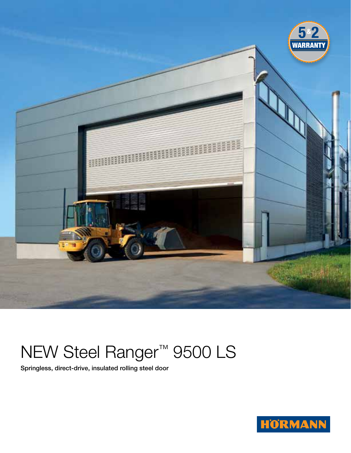

# NEW Steel Ranger™ 9500 LS

Springless, direct-drive, insulated rolling steel door

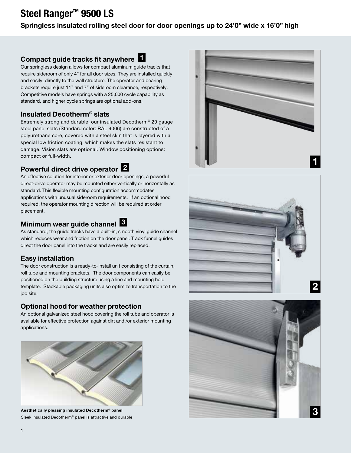# Steel Ranger™ 9500 LS

#### Springless insulated rolling steel door for door openings up to 24'0" wide x 16'0" high

### Compact guide tracks fit anywhere  $\blacksquare$

Our springless design allows for compact aluminum guide tracks that require sideroom of only 4" for all door sizes. They are installed quickly and easily, directly to the wall structure. The operator and bearing brackets require just 11" and 7" of sideroom clearance, respectively. Competitive models have springs with a 25,000 cycle capability as standard, and higher cycle springs are optional add-ons.

#### Insulated Decotherm® slats

Extremely strong and durable, our insulated Decotherm® 29 gauge steel panel slats (Standard color: RAL 9006) are constructed of a polyurethane core, covered with a steel skin that is layered with a special low friction coating, which makes the slats resistant to damage. Vision slats are optional. Window positioning options: compact or full-width.

## Powerful direct drive operator 2

An effective solution for interior or exterior door openings, a powerful direct-drive operator may be mounted either vertically or horizontally as standard. This flexible mounting configuration accommodates applications with unusual sideroom requirements. If an optional hood required, the operator mounting direction will be required at order placement.

## Minimum wear guide channel **B**

As standard, the guide tracks have a built-in, smooth vinyl guide channel which reduces wear and friction on the door panel. Track funnel guides direct the door panel into the tracks and are easily replaced.

#### Easy installation

The door construction is a ready-to-install unit consisting of the curtain, roll tube and mounting brackets. The door components can easily be positioned on the building structure using a line and mounting hole template. Stackable packaging units also optimize transportation to the job site.

#### Optional hood for weather protection

An optional galvanized steel hood covering the roll tube and operator is available for effective protection against dirt and /or exterior mounting applications.



Aesthetically pleasing insulated Decotherm® panel Sleek insulated Decotherm® panel is attractive and durable





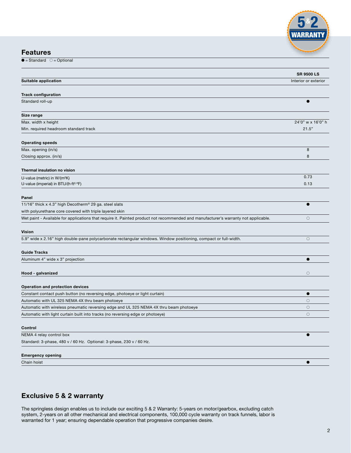

#### Features

 $\overline{\bullet}$  = Standard  $\circ$  = Optional

|                                                                                                                                     | <b>SR 9500 LS</b>    |
|-------------------------------------------------------------------------------------------------------------------------------------|----------------------|
| Suitable application                                                                                                                | Interior or exterior |
|                                                                                                                                     |                      |
| <b>Track configuration</b>                                                                                                          |                      |
| Standard roll-up                                                                                                                    |                      |
| Size range                                                                                                                          |                      |
| Max. width x height                                                                                                                 | 24'0" w x 16'0" h    |
| Min. required headroom standard track                                                                                               | 21.5"                |
| <b>Operating speeds</b>                                                                                                             |                      |
| Max. opening (in/s)                                                                                                                 | 8                    |
| Closing approx. (in/s)                                                                                                              | 8                    |
| Thermal insulation no vision                                                                                                        |                      |
| U-value (metric) in W/(m <sup>2</sup> K)                                                                                            | 0.73                 |
| U-value (imperial) in BTU/(h·ft <sup>2.o</sup> F)                                                                                   | 0.13                 |
| Panel                                                                                                                               |                      |
| 11/16" thick x 4.3" high Decotherm® 29 ga. steel slats                                                                              | ●                    |
| with polyurethane core covered with triple layered skin                                                                             |                      |
| Wet paint - Available for applications that require it. Painted product not recommended and manufacturer's warranty not applicable. | $\circ$              |
| <b>Vision</b>                                                                                                                       |                      |
| 5.9" wide x 2.16" high double-pane polycarbonate rectangular windows. Window positioning, compact or full-width.                    | $\bigcirc$           |
| <b>Guide Tracks</b>                                                                                                                 |                      |
| Aluminum 4" wide x 3" projection                                                                                                    | $\bullet$            |
|                                                                                                                                     |                      |
| Hood - galvanized                                                                                                                   | $\circ$              |
| <b>Operation and protection devices</b>                                                                                             |                      |
| Constant contact push button (no reversing edge, photoeye or light curtain)                                                         | $\bullet$            |
| Automatic with UL 325 NEMA 4X thru beam photoeye                                                                                    | $\bigcirc$           |
| Automatic with wireless pneumatic reversing edge and UL 325 NEMA 4X thru beam photoeye                                              | $\circ$              |
| Automatic with light curtain built into tracks (no reversing edge or photoeye)                                                      | $\circ$              |
| Control                                                                                                                             |                      |
| NEMA 4 relay control box                                                                                                            | ●                    |
| Standard: 3-phase, 480 v / 60 Hz. Optional: 3-phase, 230 v / 60 Hz.                                                                 |                      |
| <b>Emergency opening</b>                                                                                                            |                      |
| Chain hoist                                                                                                                         | e                    |
|                                                                                                                                     |                      |

#### Exclusive 5 & 2 warranty

The springless design enables us to include our exciting 5 & 2 Warranty: 5-years on motor/gearbox, excluding catch system, 2-years on all other mechanical and electrical components, 100,000 cycle warranty on track funnels, labor is warranted for 1 year; ensuring dependable operation that progressive companies desire.